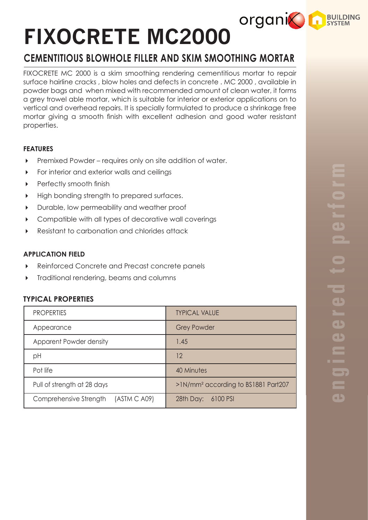# **FIXOCRETE MC2000**

# **CEMENTITIOUS BLOWHOLE FILLER AND SKIM SMOOTHING MORTAR**

FIXOCRETE MC 2000 is a skim smoothing rendering cementitious mortar to repair surface hairline cracks , blow holes and defects in concrete . MC 2000 , available in powder bags and when mixed with recommended amount of clean water, it forms a grey trowel able mortar, which is suitable for interior or exterior applications on to vertical and overhead repairs. It is specially formulated to produce a shrinkage free mortar giving a smooth finish with excellent adhesion and good water resistant properties.

# **FEATURES**

- ▶ Premixed Powder requires only on site addition of water.
- **For interior and exterior walls and ceilings**
- **Perfectly smooth finish**
- High bonding strength to prepared surfaces.
- Durable, low permeability and weather proof
- Compatible with all types of decorative wall coverings
- Resistant to carbonation and chlorides attack

### **APPLICATION FIELD**

- Reinforced Concrete and Precast concrete panels
- $\triangleright$  Traditional rendering, beams and columns

# **TYPICAL PROPERTIES**

| <b>PROPERTIES</b>                      | <b>TYPICAL VALUE</b>                            |
|----------------------------------------|-------------------------------------------------|
| Appearance                             | <b>Grey Powder</b>                              |
| Apparent Powder density                | 1.45                                            |
| pH                                     | 12                                              |
| Pot life                               | 40 Minutes                                      |
| Pull of strength at 28 days            | >1N/mm <sup>2</sup> according to BS1881 Part207 |
| Comprehensive Strength<br>(ASTM C A09) | 28th Day: 6100 PSI                              |